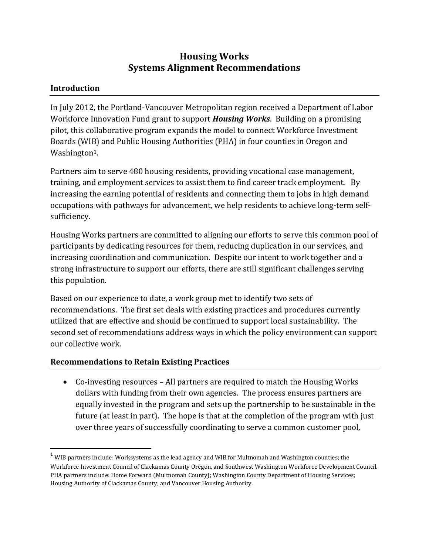# **Housing Works Systems Alignment Recommendations**

## **Introduction**

 $\overline{a}$ 

In July 2012, the Portland-Vancouver Metropolitan region received a Department of Labor Workforce Innovation Fund grant to support *Housing Works*. Building on a promising pilot, this collaborative program expands the model to connect Workforce Investment Boards (WIB) and Public Housing Authorities (PHA) in four counties in Oregon and Washington<sup>1</sup>.

Partners aim to serve 480 housing residents, providing vocational case management, training, and employment services to assist them to find career track employment. By increasing the earning potential of residents and connecting them to jobs in high demand occupations with pathways for advancement, we help residents to achieve long-term selfsufficiency.

Housing Works partners are committed to aligning our efforts to serve this common pool of participants by dedicating resources for them, reducing duplication in our services, and increasing coordination and communication. Despite our intent to work together and a strong infrastructure to support our efforts, there are still significant challenges serving this population.

Based on our experience to date, a work group met to identify two sets of recommendations. The first set deals with existing practices and procedures currently utilized that are effective and should be continued to support local sustainability. The second set of recommendations address ways in which the policy environment can support our collective work.

#### **Recommendations to Retain Existing Practices**

 Co-investing resources – All partners are required to match the Housing Works dollars with funding from their own agencies. The process ensures partners are equally invested in the program and sets up the partnership to be sustainable in the future (at least in part). The hope is that at the completion of the program with just over three years of successfully coordinating to serve a common customer pool,

 $1$  WIB partners include: Worksystems as the lead agency and WIB for Multnomah and Washington counties; the Workforce Investment Council of Clackamas County Oregon, and Southwest Washington Workforce Development Council. PHA partners include: Home Forward (Multnomah County); Washington County Department of Housing Services; Housing Authority of Clackamas County; and Vancouver Housing Authority.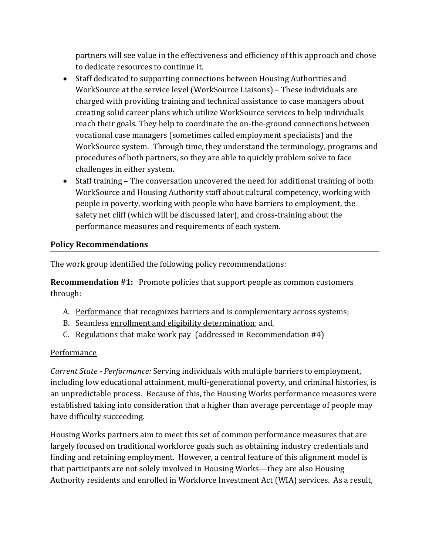partners will see value in the effectiveness and efficiency of this approach and chose to dedicate resources to continue it.

- Staff dedicated to supporting connections between Housing Authorities and WorkSource at the service level (WorkSource Liaisons) – These individuals are charged with providing training and technical assistance to case managers about creating solid career plans which utilize WorkSource services to help individuals reach their goals. They help to coordinate the on-the-ground connections between vocational case managers (sometimes called employment specialists) and the WorkSource system. Through time, they understand the terminology, programs and procedures of both partners, so they are able to quickly problem solve to face challenges in either system.
- Staff training The conversation uncovered the need for additional training of both WorkSource and Housing Authority staff about cultural competency, working with people in poverty, working with people who have barriers to employment, the safety net cliff (which will be discussed later), and cross-training about the performance measures and requirements of each system.

#### **Policy Recommendations**

The work group identified the following policy recommendations:

**Recommendation #1:** Promote policies that support people as common customers through:

- A. Performance that recognizes barriers and is complementary across systems;
- B. Seamless enrollment and eligibility determination; and,
- C. Regulations that make work pay (addressed in Recommendation  $#4$ )

#### Performance

*Current State - Performance:* Serving individuals with multiple barriers to employment, including low educational attainment, multi-generational poverty, and criminal histories, is an unpredictable process. Because of this, the Housing Works performance measures were established taking into consideration that a higher than average percentage of people may have difficulty succeeding.

Housing Works partners aim to meet this set of common performance measures that are largely focused on traditional workforce goals such as obtaining industry credentials and finding and retaining employment. However, a central feature of this alignment model is that participants are not solely involved in Housing Works—they are also Housing Authority residents and enrolled in Workforce Investment Act (WIA) services. As a result,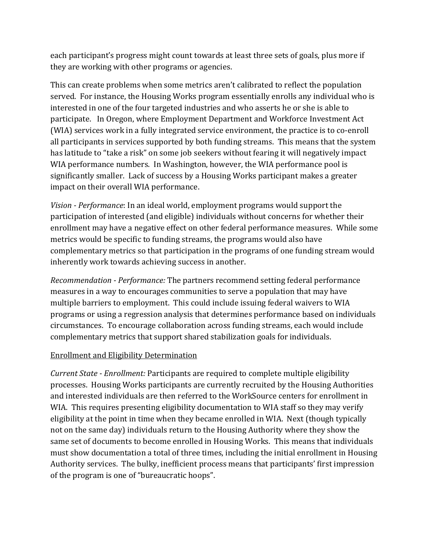each participant's progress might count towards at least three sets of goals, plus more if they are working with other programs or agencies.

This can create problems when some metrics aren't calibrated to reflect the population served. For instance, the Housing Works program essentially enrolls any individual who is interested in one of the four targeted industries and who asserts he or she is able to participate. In Oregon, where Employment Department and Workforce Investment Act (WIA) services work in a fully integrated service environment, the practice is to co-enroll all participants in services supported by both funding streams. This means that the system has latitude to "take a risk" on some job seekers without fearing it will negatively impact WIA performance numbers. In Washington, however, the WIA performance pool is significantly smaller. Lack of success by a Housing Works participant makes a greater impact on their overall WIA performance.

*Vision - Performance*: In an ideal world, employment programs would support the participation of interested (and eligible) individuals without concerns for whether their enrollment may have a negative effect on other federal performance measures. While some metrics would be specific to funding streams, the programs would also have complementary metrics so that participation in the programs of one funding stream would inherently work towards achieving success in another.

*Recommendation - Performance:* The partners recommend setting federal performance measures in a way to encourages communities to serve a population that may have multiple barriers to employment. This could include issuing federal waivers to WIA programs or using a regression analysis that determines performance based on individuals circumstances. To encourage collaboration across funding streams, each would include complementary metrics that support shared stabilization goals for individuals.

#### Enrollment and Eligibility Determination

*Current State - Enrollment:* Participants are required to complete multiple eligibility processes. Housing Works participants are currently recruited by the Housing Authorities and interested individuals are then referred to the WorkSource centers for enrollment in WIA. This requires presenting eligibility documentation to WIA staff so they may verify eligibility at the point in time when they became enrolled in WIA. Next (though typically not on the same day) individuals return to the Housing Authority where they show the same set of documents to become enrolled in Housing Works. This means that individuals must show documentation a total of three times, including the initial enrollment in Housing Authority services. The bulky, inefficient process means that participants' first impression of the program is one of "bureaucratic hoops".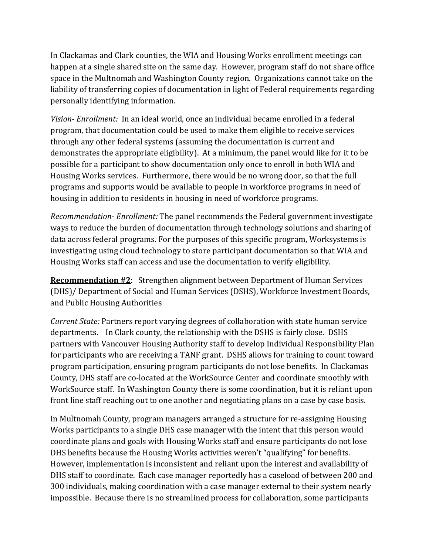In Clackamas and Clark counties, the WIA and Housing Works enrollment meetings can happen at a single shared site on the same day. However, program staff do not share office space in the Multnomah and Washington County region. Organizations cannot take on the liability of transferring copies of documentation in light of Federal requirements regarding personally identifying information.

*Vision- Enrollment:* In an ideal world, once an individual became enrolled in a federal program, that documentation could be used to make them eligible to receive services through any other federal systems (assuming the documentation is current and demonstrates the appropriate eligibility). At a minimum, the panel would like for it to be possible for a participant to show documentation only once to enroll in both WIA and Housing Works services. Furthermore, there would be no wrong door, so that the full programs and supports would be available to people in workforce programs in need of housing in addition to residents in housing in need of workforce programs.

*Recommendation- Enrollment:* The panel recommends the Federal government investigate ways to reduce the burden of documentation through technology solutions and sharing of data across federal programs. For the purposes of this specific program, Worksystems is investigating using cloud technology to store participant documentation so that WIA and Housing Works staff can access and use the documentation to verify eligibility.

**Recommendation #2**: Strengthen alignment between Department of Human Services (DHS)/ Department of Social and Human Services (DSHS), Workforce Investment Boards, and Public Housing Authorities

*Current State:* Partners report varying degrees of collaboration with state human service departments. In Clark county, the relationship with the DSHS is fairly close. DSHS partners with Vancouver Housing Authority staff to develop Individual Responsibility Plan for participants who are receiving a TANF grant. DSHS allows for training to count toward program participation, ensuring program participants do not lose benefits. In Clackamas County, DHS staff are co-located at the WorkSource Center and coordinate smoothly with WorkSource staff. In Washington County there is some coordination, but it is reliant upon front line staff reaching out to one another and negotiating plans on a case by case basis.

In Multnomah County, program managers arranged a structure for re-assigning Housing Works participants to a single DHS case manager with the intent that this person would coordinate plans and goals with Housing Works staff and ensure participants do not lose DHS benefits because the Housing Works activities weren't "qualifying" for benefits. However, implementation is inconsistent and reliant upon the interest and availability of DHS staff to coordinate. Each case manager reportedly has a caseload of between 200 and 300 individuals, making coordination with a case manager external to their system nearly impossible. Because there is no streamlined process for collaboration, some participants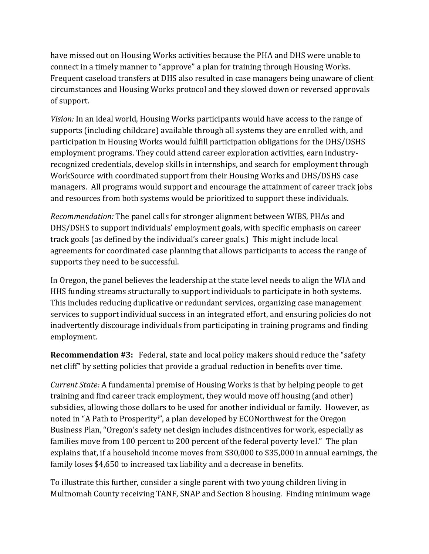have missed out on Housing Works activities because the PHA and DHS were unable to connect in a timely manner to "approve" a plan for training through Housing Works. Frequent caseload transfers at DHS also resulted in case managers being unaware of client circumstances and Housing Works protocol and they slowed down or reversed approvals of support.

*Vision:* In an ideal world, Housing Works participants would have access to the range of supports (including childcare) available through all systems they are enrolled with, and participation in Housing Works would fulfill participation obligations for the DHS/DSHS employment programs. They could attend career exploration activities, earn industryrecognized credentials, develop skills in internships, and search for employment through WorkSource with coordinated support from their Housing Works and DHS/DSHS case managers. All programs would support and encourage the attainment of career track jobs and resources from both systems would be prioritized to support these individuals.

*Recommendation:* The panel calls for stronger alignment between WIBS, PHAs and DHS/DSHS to support individuals' employment goals, with specific emphasis on career track goals (as defined by the individual's career goals.) This might include local agreements for coordinated case planning that allows participants to access the range of supports they need to be successful.

In Oregon, the panel believes the leadership at the state level needs to align the WIA and HHS funding streams structurally to support individuals to participate in both systems. This includes reducing duplicative or redundant services, organizing case management services to support individual success in an integrated effort, and ensuring policies do not inadvertently discourage individuals from participating in training programs and finding employment.

**Recommendation #3:** Federal, state and local policy makers should reduce the "safety net cliff" by setting policies that provide a gradual reduction in benefits over time.

*Current State:* A fundamental premise of Housing Works is that by helping people to get training and find career track employment, they would move off housing (and other) subsidies, allowing those dollars to be used for another individual or family. However, as noted in "A Path to Prosperityi", a plan developed by ECONorthwest for the Oregon Business Plan, "Oregon's safety net design includes disincentives for work, especially as families move from 100 percent to 200 percent of the federal poverty level." The plan explains that, if a household income moves from \$30,000 to \$35,000 in annual earnings, the family loses \$4,650 to increased tax liability and a decrease in benefits.

To illustrate this further, consider a single parent with two young children living in Multnomah County receiving TANF, SNAP and Section 8 housing. Finding minimum wage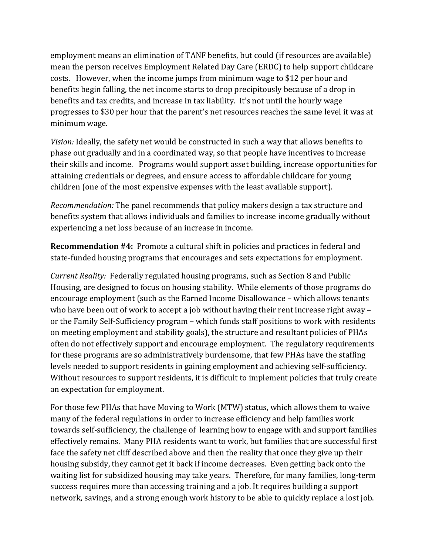employment means an elimination of TANF benefits, but could (if resources are available) mean the person receives Employment Related Day Care (ERDC) to help support childcare costs. However, when the income jumps from minimum wage to \$12 per hour and benefits begin falling, the net income starts to drop precipitously because of a drop in benefits and tax credits, and increase in tax liability. It's not until the hourly wage progresses to \$30 per hour that the parent's net resources reaches the same level it was at minimum wage.

*Vision:* Ideally, the safety net would be constructed in such a way that allows benefits to phase out gradually and in a coordinated way, so that people have incentives to increase their skills and income. Programs would support asset building, increase opportunities for attaining credentials or degrees, and ensure access to affordable childcare for young children (one of the most expensive expenses with the least available support).

*Recommendation:* The panel recommends that policy makers design a tax structure and benefits system that allows individuals and families to increase income gradually without experiencing a net loss because of an increase in income.

**Recommendation #4:** Promote a cultural shift in policies and practices in federal and state-funded housing programs that encourages and sets expectations for employment.

*Current Reality:* Federally regulated housing programs, such as Section 8 and Public Housing, are designed to focus on housing stability. While elements of those programs do encourage employment (such as the Earned Income Disallowance – which allows tenants who have been out of work to accept a job without having their rent increase right away – or the Family Self-Sufficiency program – which funds staff positions to work with residents on meeting employment and stability goals), the structure and resultant policies of PHAs often do not effectively support and encourage employment. The regulatory requirements for these programs are so administratively burdensome, that few PHAs have the staffing levels needed to support residents in gaining employment and achieving self-sufficiency. Without resources to support residents, it is difficult to implement policies that truly create an expectation for employment.

For those few PHAs that have Moving to Work (MTW) status, which allows them to waive many of the federal regulations in order to increase efficiency and help families work towards self-sufficiency, the challenge of learning how to engage with and support families effectively remains. Many PHA residents want to work, but families that are successful first face the safety net cliff described above and then the reality that once they give up their housing subsidy, they cannot get it back if income decreases. Even getting back onto the waiting list for subsidized housing may take years. Therefore, for many families, long-term success requires more than accessing training and a job. It requires building a support network, savings, and a strong enough work history to be able to quickly replace a lost job.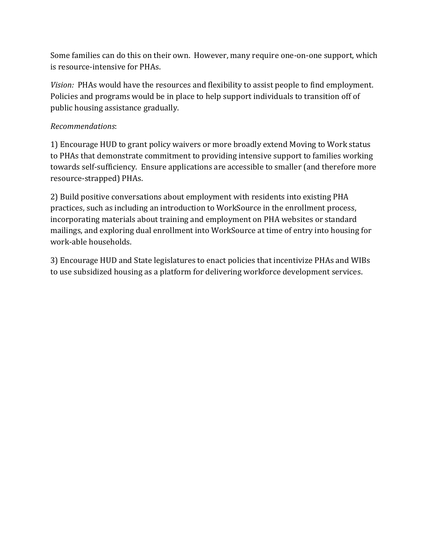Some families can do this on their own. However, many require one-on-one support, which is resource-intensive for PHAs.

*Vision:* PHAs would have the resources and flexibility to assist people to find employment. Policies and programs would be in place to help support individuals to transition off of public housing assistance gradually.

## *Recommendations*:

1) Encourage HUD to grant policy waivers or more broadly extend Moving to Work status to PHAs that demonstrate commitment to providing intensive support to families working towards self-sufficiency. Ensure applications are accessible to smaller (and therefore more resource-strapped) PHAs.

2) Build positive conversations about employment with residents into existing PHA practices, such as including an introduction to WorkSource in the enrollment process, incorporating materials about training and employment on PHA websites or standard mailings, and exploring dual enrollment into WorkSource at time of entry into housing for work-able households.

3) Encourage HUD and State legislatures to enact policies that incentivize PHAs and WIBs to use subsidized housing as a platform for delivering workforce development services.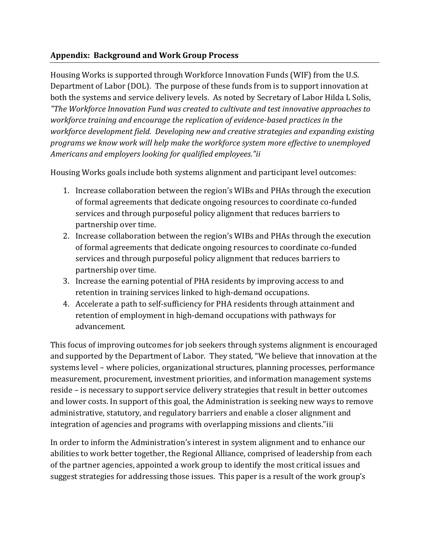#### **Appendix: Background and Work Group Process**

Housing Works is supported through Workforce Innovation Funds (WIF) from the U.S. Department of Labor (DOL). The purpose of these funds from is to support innovation at both the systems and service delivery levels. As noted by Secretary of Labor Hilda L Solis, *"The Workforce Innovation Fund was created to cultivate and test innovative approaches to workforce training and encourage the replication of evidence-based practices in the workforce development field. Developing new and creative strategies and expanding existing programs we know work will help make the workforce system more effective to unemployed Americans and employers looking for qualified employees."ii*

Housing Works goals include both systems alignment and participant level outcomes:

- 1. Increase collaboration between the region's WIBs and PHAs through the execution of formal agreements that dedicate ongoing resources to coordinate co-funded services and through purposeful policy alignment that reduces barriers to partnership over time.
- 2. Increase collaboration between the region's WIBs and PHAs through the execution of formal agreements that dedicate ongoing resources to coordinate co-funded services and through purposeful policy alignment that reduces barriers to partnership over time.
- 3. Increase the earning potential of PHA residents by improving access to and retention in training services linked to high-demand occupations.
- 4. Accelerate a path to self-sufficiency for PHA residents through attainment and retention of employment in high-demand occupations with pathways for advancement.

This focus of improving outcomes for job seekers through systems alignment is encouraged and supported by the Department of Labor. They stated, "We believe that innovation at the systems level – where policies, organizational structures, planning processes, performance measurement, procurement, investment priorities, and information management systems reside – is necessary to support service delivery strategies that result in better outcomes and lower costs. In support of this goal, the Administration is seeking new ways to remove administrative, statutory, and regulatory barriers and enable a closer alignment and integration of agencies and programs with overlapping missions and clients."iii

In order to inform the Administration's interest in system alignment and to enhance our abilities to work better together, the Regional Alliance, comprised of leadership from each of the partner agencies, appointed a work group to identify the most critical issues and suggest strategies for addressing those issues. This paper is a result of the work group's